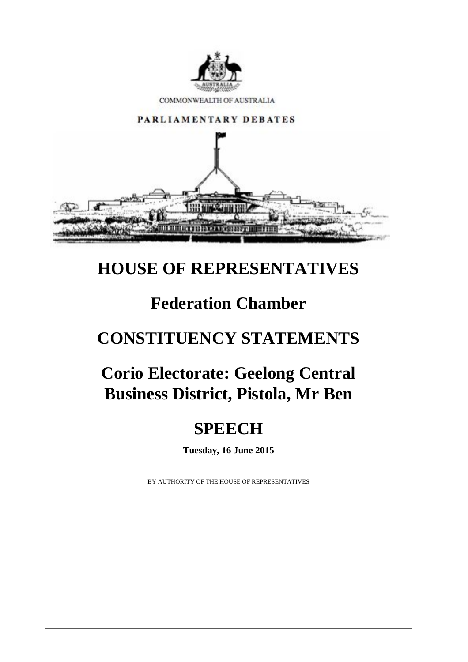

# **HOUSE OF REPRESENTATIVES**

# **Federation Chamber**

# **CONSTITUENCY STATEMENTS**

# **Corio Electorate: Geelong Central Business District, Pistola, Mr Ben**

# **SPEECH**

**Tuesday, 16 June 2015**

BY AUTHORITY OF THE HOUSE OF REPRESENTATIVES